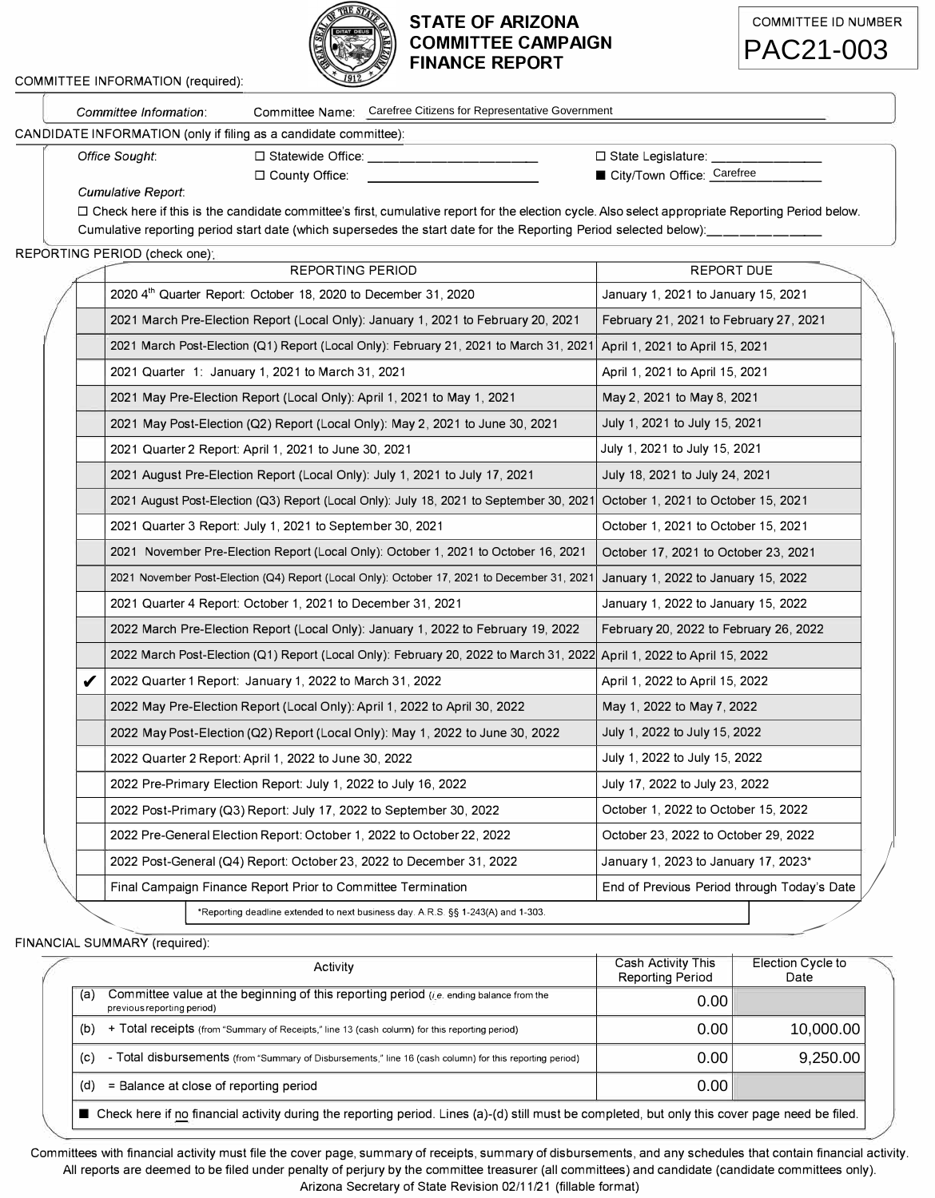

## **STATE OF ARIZONA COMMITTEE CAMPAIGN FINANCE REPORT**



|                                                                  | Committee Information:    |                                 | Committee Name: Carefree Citizens for Representative Government |  |  |  |  |  |
|------------------------------------------------------------------|---------------------------|---------------------------------|-----------------------------------------------------------------|--|--|--|--|--|
| CANDIDATE INFORMATION (only if filing as a candidate committee): |                           |                                 |                                                                 |  |  |  |  |  |
|                                                                  | Office Sought:            | $\Box$ Statewide Office:        | $\Box$ State Legislature:                                       |  |  |  |  |  |
|                                                                  |                           | $\Box$ County Office:           | City/Town Office: Carefree                                      |  |  |  |  |  |
|                                                                  | <b>Cumulative Report:</b> |                                 |                                                                 |  |  |  |  |  |
|                                                                  |                           | .<br>$\cdots$ $\cdots$ $\cdots$ |                                                                 |  |  |  |  |  |

## REPORTING PERIOD (check one)·

COMMITTEE INFORMATION (required):

| Committee Name: Carefree Citizens for Representative Government<br>Committee Information:                                                          |                                        |                   |  |
|----------------------------------------------------------------------------------------------------------------------------------------------------|----------------------------------------|-------------------|--|
| ATE INFORMATION (only if filing as a candidate committee):                                                                                         |                                        |                   |  |
| Office Sought:<br>□ Statewide Office:                                                                                                              | $\Box$ State Legislature:              |                   |  |
| □ County Office:<br>Cumulative Report:                                                                                                             | City/Town Office: Carefree             |                   |  |
| □ Check here if this is the candidate committee's first, cumulative report for the election cycle. Also select appropriate Reporting Period below. |                                        |                   |  |
| Cumulative reporting period start date (which supersedes the start date for the Reporting Period selected below):                                  |                                        |                   |  |
| [ING PERIOD (check one);<br><b>REPORTING PERIOD</b>                                                                                                | <b>REPORT DUE</b>                      |                   |  |
| 2020 4th Quarter Report: October 18, 2020 to December 31, 2020                                                                                     | January 1, 2021 to January 15, 2021    |                   |  |
| 2021 March Pre-Election Report (Local Only): January 1, 2021 to February 20, 2021                                                                  | February 21, 2021 to February 27, 2021 |                   |  |
| 2021 March Post-Election (Q1) Report (Local Only): February 21, 2021 to March 31, 2021                                                             | April 1, 2021 to April 15, 2021        |                   |  |
| 2021 Quarter 1: January 1, 2021 to March 31, 2021                                                                                                  | April 1, 2021 to April 15, 2021        |                   |  |
| 2021 May Pre-Election Report (Local Only): April 1, 2021 to May 1, 2021                                                                            | May 2, 2021 to May 8, 2021             |                   |  |
| 2021 May Post-Election (Q2) Report (Local Only): May 2, 2021 to June 30, 2021                                                                      | July 1, 2021 to July 15, 2021          |                   |  |
| 2021 Quarter 2 Report: April 1, 2021 to June 30, 2021                                                                                              | July 1, 2021 to July 15, 2021          |                   |  |
| 2021 August Pre-Election Report (Local Only): July 1, 2021 to July 17, 2021                                                                        | July 18, 2021 to July 24, 2021         |                   |  |
| 2021 August Post-Election (Q3) Report (Local Only): July 18, 2021 to September 30, 2021                                                            | October 1, 2021 to October 15, 2021    |                   |  |
| 2021 Quarter 3 Report: July 1, 2021 to September 30, 2021                                                                                          | October 1, 2021 to October 15, 2021    |                   |  |
| 2021 November Pre-Election Report (Local Only): October 1, 2021 to October 16, 2021                                                                | October 17, 2021 to October 23, 2021   |                   |  |
| 2021 November Post-Election (Q4) Report (Local Only): October 17, 2021 to December 31, 2021                                                        | January 1, 2022 to January 15, 2022    |                   |  |
| 2021 Quarter 4 Report: October 1, 2021 to December 31, 2021                                                                                        | January 1, 2022 to January 15, 2022    |                   |  |
| 2022 March Pre-Election Report (Local Only): January 1, 2022 to February 19, 2022                                                                  | February 20, 2022 to February 26, 2022 |                   |  |
| 2022 March Post-Election (Q1) Report (Local Only): February 20, 2022 to March 31, 2022                                                             | April 1, 2022 to April 15, 2022        |                   |  |
| 2022 Quarter 1 Report: January 1, 2022 to March 31, 2022                                                                                           | April 1, 2022 to April 15, 2022        |                   |  |
| 2022 May Pre-Election Report (Local Only): April 1, 2022 to April 30, 2022                                                                         | May 1, 2022 to May 7, 2022             |                   |  |
| 2022 May Post-Election (Q2) Report (Local Only): May 1, 2022 to June 30, 2022                                                                      | July 1, 2022 to July 15, 2022          |                   |  |
| 2022 Quarter 2 Report: April 1, 2022 to June 30, 2022                                                                                              | July 1, 2022 to July 15, 2022          |                   |  |
| 2022 Pre-Primary Election Report: July 1, 2022 to July 16, 2022                                                                                    | July 17, 2022 to July 23, 2022         |                   |  |
| 2022 Post-Primary (Q3) Report: July 17, 2022 to September 30, 2022                                                                                 | October 1, 2022 to October 15, 2022    |                   |  |
| 2022 Pre-General Election Report: October 1, 2022 to October 22, 2022                                                                              | October 23, 2022 to October 29, 2022   |                   |  |
| 2022 Post-General (Q4) Report: October 23, 2022 to December 31, 2022                                                                               | January 1, 2023 to January 17, 2023*   |                   |  |
| Final Campaign Finance Report Prior to Committee Termination<br>End of Previous Period through Today's Date                                        |                                        |                   |  |
| *Reporting deadline extended to next business day. A.R.S. §§ 1-243(A) and 1-303.                                                                   |                                        |                   |  |
| AL SUMMARY (required):                                                                                                                             |                                        |                   |  |
| Activity                                                                                                                                           | Cash Activity This                     | Election Cycle to |  |
| Committee value at the beginning of this reporting period ( <i>i.e.</i> ending balance from the                                                    | <b>Reporting Period</b><br>0.00        | Date              |  |
| previous reporting period)                                                                                                                         |                                        |                   |  |
| + Total receipts (from "Summary of Receipts," line 13 (cash column) for this reporting period)                                                     | 0.00                                   | 10,000.00         |  |
| - Total disbursements (from "Summary of Disbursements," line 16 (cash column) for this reporting period)                                           | 0.00                                   | 9,250.00          |  |
| = Balance at close of reporting period                                                                                                             | 0.00                                   |                   |  |
| ■ Check here if no financial activity during the reporting period. Lines (a)-(d) still must be completed, but only this cover page need be filed.  |                                        |                   |  |

FINANCIAL SUMMARY (required):

| Activity                                                                                                                                          | Cash Activity This<br><b>Reporting Period</b> | Election Cycle to<br>Date |  |  |  |
|---------------------------------------------------------------------------------------------------------------------------------------------------|-----------------------------------------------|---------------------------|--|--|--|
| Committee value at the beginning of this reporting period ( <i>i.e.</i> ending balance from the<br>(a)<br>previous reporting period)              | 0.00                                          |                           |  |  |  |
| + Total receipts (from "Summary of Receipts," line 13 (cash column) for this reporting period)<br>(b)                                             | 0.00                                          | 10.000.00                 |  |  |  |
| - Total disbursements (from "Summary of Disbursements," line 16 (cash column) for this reporting period)<br>(c)                                   | 0.00                                          | 9.250.00                  |  |  |  |
| = Balance at close of reporting period<br>(d)                                                                                                     | 0.00                                          |                           |  |  |  |
| ■ Check here if no financial activity during the reporting period. Lines (a)-(d) still must be completed, but only this cover page need be filed. |                                               |                           |  |  |  |

Committees with financial activity must file the cover page, summary of receipts, summary of disbursements, and any schedules that contain financial activity. All reports are deemed to be filed under penalty of perjury by the committee treasurer (all committees) and candidate (candidate committees only).